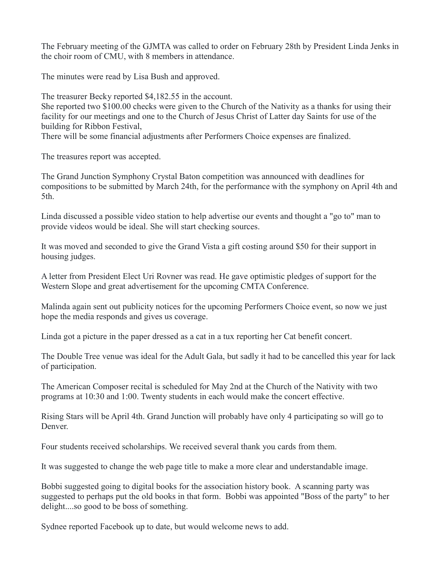The February meeting of the GJMTA was called to order on February 28th by President Linda Jenks in the choir room of CMU, with 8 members in attendance.

The minutes were read by Lisa Bush and approved.

The treasurer Becky reported \$4,182.55 in the account.

She reported two \$100.00 checks were given to the Church of the Nativity as a thanks for using their facility for our meetings and one to the Church of Jesus Christ of Latter day Saints for use of the building for Ribbon Festival,

There will be some financial adjustments after Performers Choice expenses are finalized.

The treasures report was accepted.

The Grand Junction Symphony Crystal Baton competition was announced with deadlines for compositions to be submitted by March 24th, for the performance with the symphony on April 4th and 5th.

Linda discussed a possible video station to help advertise our events and thought a "go to" man to provide videos would be ideal. She will start checking sources.

It was moved and seconded to give the Grand Vista a gift costing around \$50 for their support in housing judges.

A letter from President Elect Uri Rovner was read. He gave optimistic pledges of support for the Western Slope and great advertisement for the upcoming CMTA Conference.

Malinda again sent out publicity notices for the upcoming Performers Choice event, so now we just hope the media responds and gives us coverage.

Linda got a picture in the paper dressed as a cat in a tux reporting her Cat benefit concert.

The Double Tree venue was ideal for the Adult Gala, but sadly it had to be cancelled this year for lack of participation.

The American Composer recital is scheduled for May 2nd at the Church of the Nativity with two programs at 10:30 and 1:00. Twenty students in each would make the concert effective.

Rising Stars will be April 4th. Grand Junction will probably have only 4 participating so will go to Denver.

Four students received scholarships. We received several thank you cards from them.

It was suggested to change the web page title to make a more clear and understandable image.

Bobbi suggested going to digital books for the association history book. A scanning party was suggested to perhaps put the old books in that form. Bobbi was appointed "Boss of the party" to her delight....so good to be boss of something.

Sydnee reported Facebook up to date, but would welcome news to add.